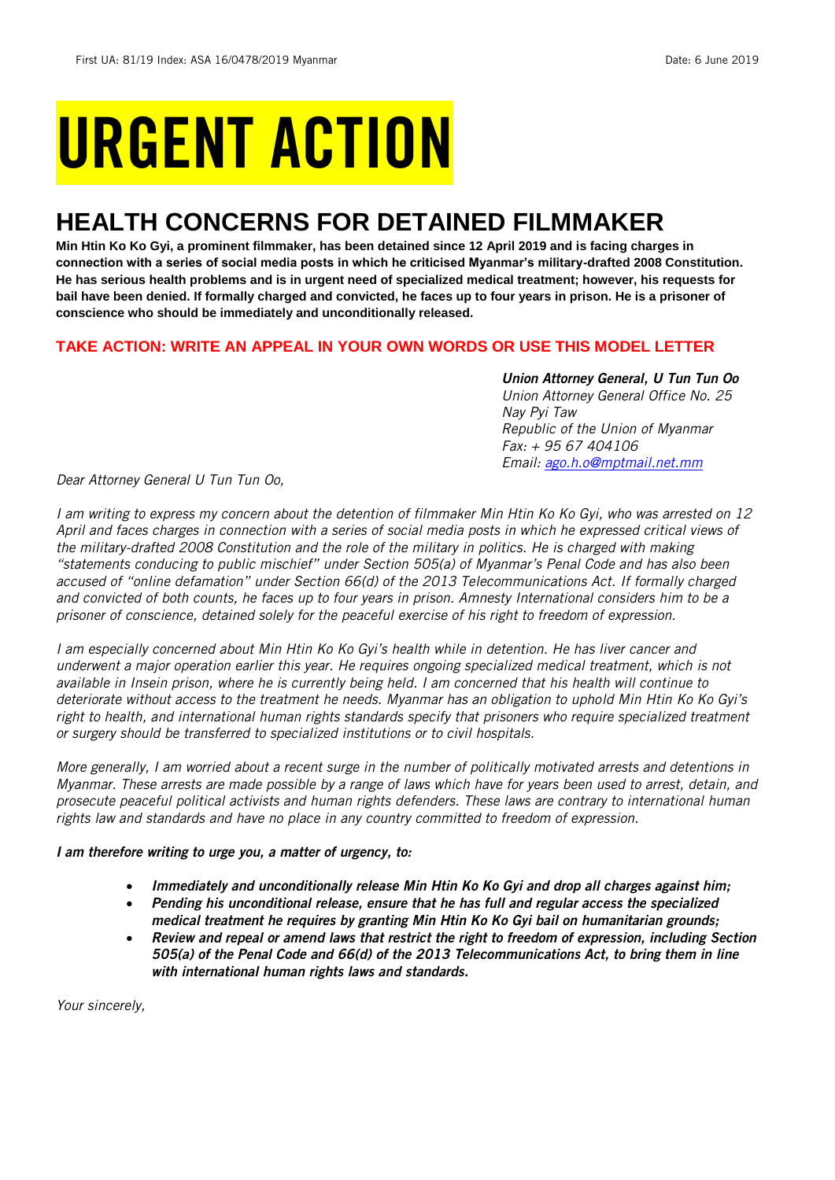# URGENT ACTION

## **HEALTH CONCERNS FOR DETAINED FILMMAKER**

**Min Htin Ko Ko Gyi, a prominent filmmaker, has been detained since 12 April 2019 and is facing charges in connection with a series of social media posts in which he criticised Myanmar's military-drafted 2008 Constitution. He has serious health problems and is in urgent need of specialized medical treatment; however, his requests for bail have been denied. If formally charged and convicted, he faces up to four years in prison. He is a prisoner of conscience who should be immediately and unconditionally released.** 

#### **TAKE ACTION: WRITE AN APPEAL IN YOUR OWN WORDS OR USE THIS MODEL LETTER**

*Union Attorney General, U Tun Tun Oo Union Attorney General Office No. 25 Nay Pyi Taw Republic of the Union of Myanmar Fax: + 95 67 404106 Email: [ago.h.o@mptmail.net.mm](mailto:ago.h.o@mptmail.net.mm)*

*Dear Attorney General U Tun Tun Oo,*

*I am writing to express my concern about the detention of filmmaker Min Htin Ko Ko Gyi, who was arrested on 12 April and faces charges in connection with a series of social media posts in which he expressed critical views of the military-drafted 2008 Constitution and the role of the military in politics. He is charged with making "statements conducing to public mischief" under Section 505(a) of Myanmar's Penal Code and has also been accused of "online defamation" under Section 66(d) of the 2013 Telecommunications Act. If formally charged and convicted of both counts, he faces up to four years in prison. Amnesty International considers him to be a prisoner of conscience, detained solely for the peaceful exercise of his right to freedom of expression.*

*I am especially concerned about Min Htin Ko Ko Gyi's health while in detention. He has liver cancer and underwent a major operation earlier this year. He requires ongoing specialized medical treatment, which is not available in Insein prison, where he is currently being held. I am concerned that his health will continue to deteriorate without access to the treatment he needs. Myanmar has an obligation to uphold Min Htin Ko Ko Gyi's*  right to health, and international human rights standards specify that prisoners who require specialized treatment *or surgery should be transferred to specialized institutions or to civil hospitals.*

*More generally, I am worried about a recent surge in the number of politically motivated arrests and detentions in Myanmar. These arrests are made possible by a range of laws which have for years been used to arrest, detain, and prosecute peaceful political activists and human rights defenders. These laws are contrary to international human rights law and standards and have no place in any country committed to freedom of expression.*

#### *I am therefore writing to urge you, a matter of urgency, to:*

- *Immediately and unconditionally release Min Htin Ko Ko Gyi and drop all charges against him;*
- *Pending his unconditional release, ensure that he has full and regular access the specialized medical treatment he requires by granting Min Htin Ko Ko Gyi bail on humanitarian grounds;*
- *Review and repeal or amend laws that restrict the right to freedom of expression, including Section 505(a) of the Penal Code and 66(d) of the 2013 Telecommunications Act, to bring them in line with international human rights laws and standards.*

*Your sincerely,*